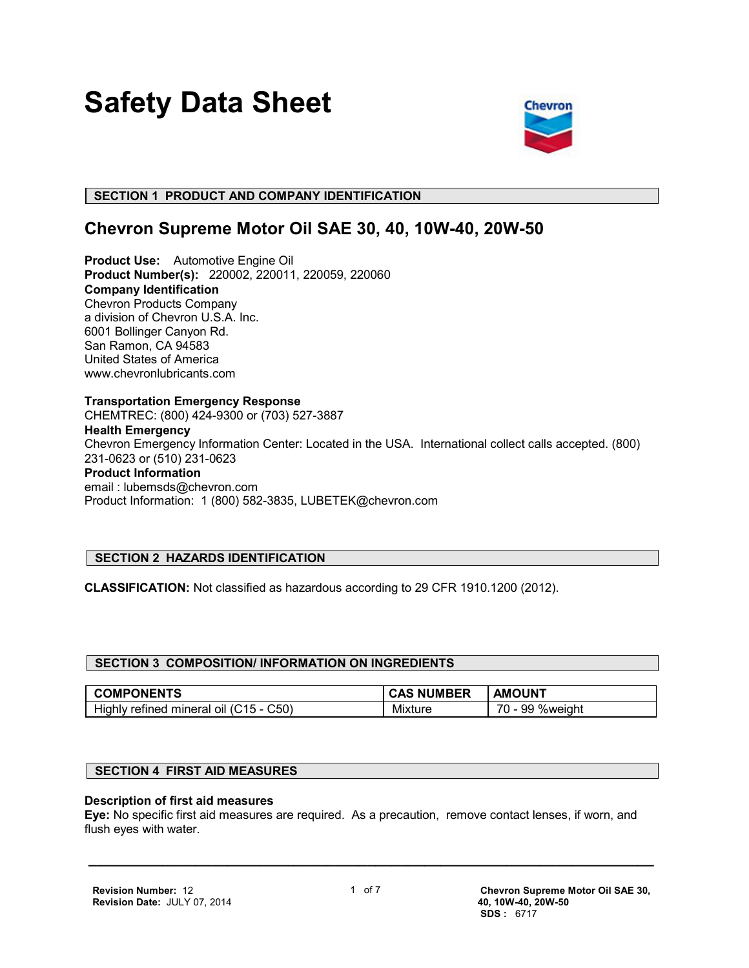# **Safety Data Sheet**



 **SECTION 1 PRODUCT AND COMPANY IDENTIFICATION**

## **Chevron Supreme Motor Oil SAE 30, 40, 10W-40, 20W-50**

**Product Use:** Automotive Engine Oil **Product Number(s):** 220002, 220011, 220059, 220060 **Company Identification** Chevron Products Company a division of Chevron U.S.A. Inc. 6001 Bollinger Canyon Rd. San Ramon, CA 94583 United States of America www.chevronlubricants.com

**Transportation Emergency Response** CHEMTREC: (800) 424-9300 or (703) 527-3887 **Health Emergency** Chevron Emergency Information Center: Located in the USA. International collect calls accepted. (800) 231-0623 or (510) 231-0623 **Product Information** email : lubemsds@chevron.com Product Information: 1 (800) 582-3835, LUBETEK@chevron.com

### **SECTION 2 HAZARDS IDENTIFICATION**

**CLASSIFICATION:** Not classified as hazardous according to 29 CFR 1910.1200 (2012).

| <b>COMPONENTS</b>                                        | <b>JMBER</b><br>CAS<br>NΙ | <b>AMOUNT</b>              |
|----------------------------------------------------------|---------------------------|----------------------------|
| $\mathcal{L}50$<br>mineral oil<br>refined<br>Highly<br>ֿ | Mixture                   | 70<br>99<br><b>%weight</b> |

#### **SECTION 4 FIRST AID MEASURES**

#### **Description of first aid measures**

**Eye:** No specific first aid measures are required. As a precaution, remove contact lenses, if worn, and flush eyes with water.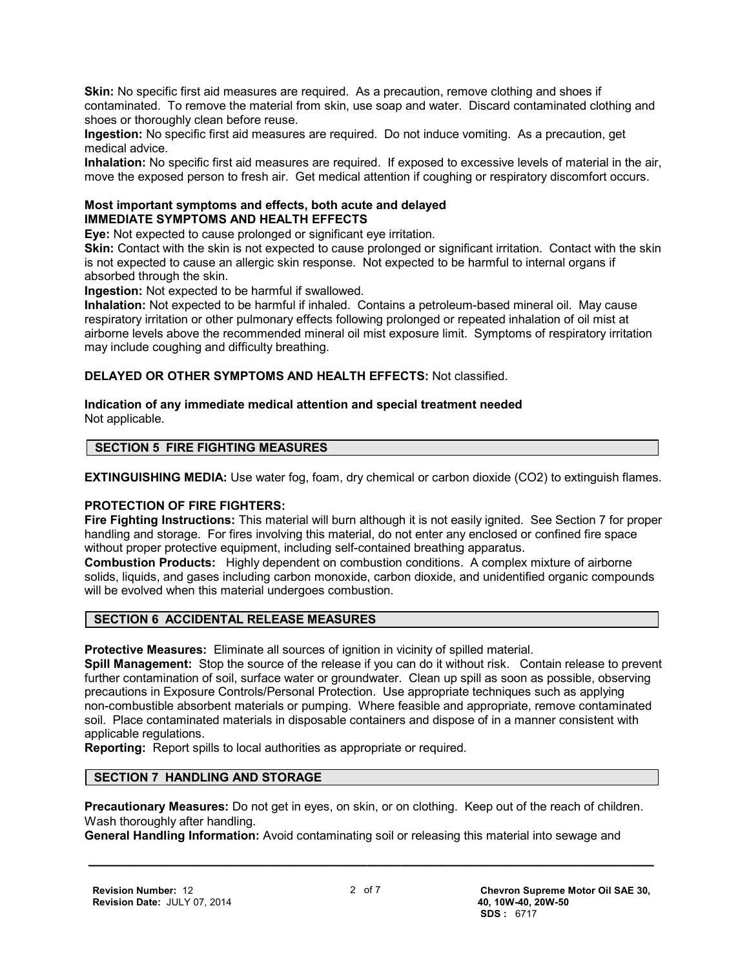**Skin:** No specific first aid measures are required. As a precaution, remove clothing and shoes if contaminated. To remove the material from skin, use soap and water. Discard contaminated clothing and shoes or thoroughly clean before reuse.

**Ingestion:** No specific first aid measures are required. Do not induce vomiting. As a precaution, get medical advice.

**Inhalation:** No specific first aid measures are required. If exposed to excessive levels of material in the air, move the exposed person to fresh air. Get medical attention if coughing or respiratory discomfort occurs.

#### **Most important symptoms and effects, both acute and delayed IMMEDIATE SYMPTOMS AND HEALTH EFFECTS**

**Eye:** Not expected to cause prolonged or significant eye irritation.

**Skin:** Contact with the skin is not expected to cause prolonged or significant irritation. Contact with the skin is not expected to cause an allergic skin response. Not expected to be harmful to internal organs if absorbed through the skin.

**Ingestion:** Not expected to be harmful if swallowed.

**Inhalation:** Not expected to be harmful if inhaled. Contains a petroleum-based mineral oil. May cause respiratory irritation or other pulmonary effects following prolonged or repeated inhalation of oil mist at airborne levels above the recommended mineral oil mist exposure limit. Symptoms of respiratory irritation may include coughing and difficulty breathing.

**DELAYED OR OTHER SYMPTOMS AND HEALTH EFFECTS:** Not classified.

#### **Indication of any immediate medical attention and special treatment needed** Not applicable.

#### **SECTION 5 FIRE FIGHTING MEASURES**

**EXTINGUISHING MEDIA:** Use water fog, foam, dry chemical or carbon dioxide (CO2) to extinguish flames.

#### **PROTECTION OF FIRE FIGHTERS:**

**Fire Fighting Instructions:** This material will burn although it is not easily ignited. See Section 7 for proper handling and storage. For fires involving this material, do not enter any enclosed or confined fire space without proper protective equipment, including self-contained breathing apparatus.

**Combustion Products:** Highly dependent on combustion conditions. A complex mixture of airborne solids, liquids, and gases including carbon monoxide, carbon dioxide, and unidentified organic compounds will be evolved when this material undergoes combustion.

#### **SECTION 6 ACCIDENTAL RELEASE MEASURES**

**Protective Measures:** Eliminate all sources of ignition in vicinity of spilled material.

**Spill Management:** Stop the source of the release if you can do it without risk. Contain release to prevent further contamination of soil, surface water or groundwater. Clean up spill as soon as possible, observing precautions in Exposure Controls/Personal Protection. Use appropriate techniques such as applying non-combustible absorbent materials or pumping. Where feasible and appropriate, remove contaminated soil. Place contaminated materials in disposable containers and dispose of in a manner consistent with applicable regulations.

**Reporting:** Report spills to local authorities as appropriate or required.

#### **SECTION 7 HANDLING AND STORAGE**

**Precautionary Measures:** Do not get in eyes, on skin, or on clothing. Keep out of the reach of children. Wash thoroughly after handling.

**General Handling Information:** Avoid contaminating soil or releasing this material into sewage and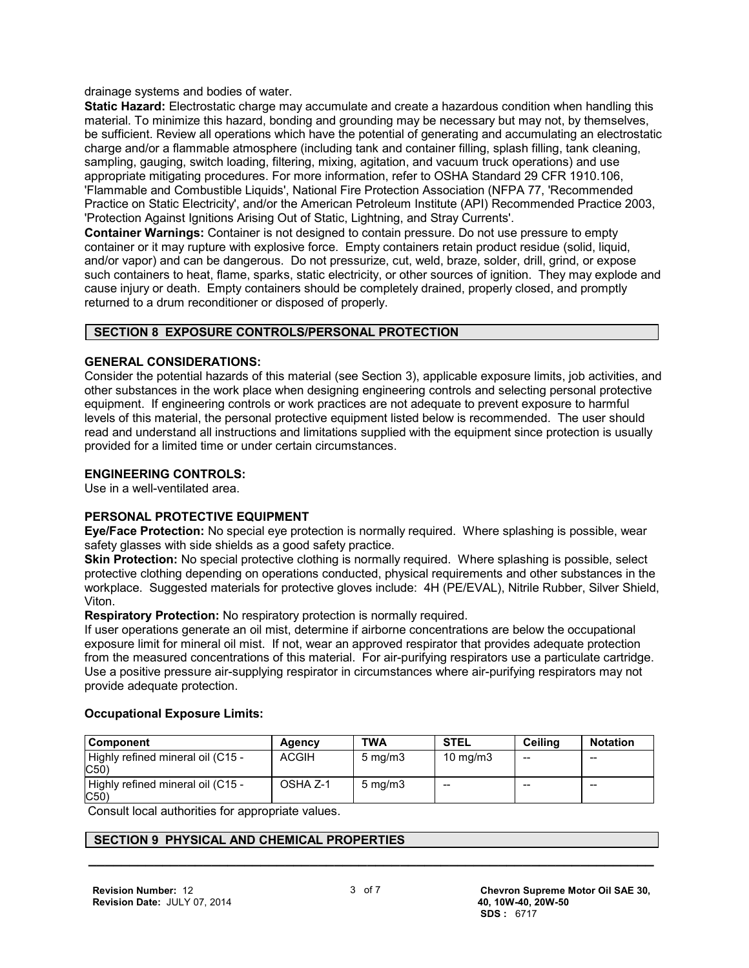drainage systems and bodies of water.

**Static Hazard:** Electrostatic charge may accumulate and create a hazardous condition when handling this material. To minimize this hazard, bonding and grounding may be necessary but may not, by themselves, be sufficient. Review all operations which have the potential of generating and accumulating an electrostatic charge and/or a flammable atmosphere (including tank and container filling, splash filling, tank cleaning, sampling, gauging, switch loading, filtering, mixing, agitation, and vacuum truck operations) and use appropriate mitigating procedures. For more information, refer to OSHA Standard 29 CFR 1910.106, 'Flammable and Combustible Liquids', National Fire Protection Association (NFPA 77, 'Recommended Practice on Static Electricity', and/or the American Petroleum Institute (API) Recommended Practice 2003, 'Protection Against Ignitions Arising Out of Static, Lightning, and Stray Currents'.

**Container Warnings:** Container is not designed to contain pressure. Do not use pressure to empty container or it may rupture with explosive force. Empty containers retain product residue (solid, liquid, and/or vapor) and can be dangerous. Do not pressurize, cut, weld, braze, solder, drill, grind, or expose such containers to heat, flame, sparks, static electricity, or other sources of ignition. They may explode and cause injury or death. Empty containers should be completely drained, properly closed, and promptly returned to a drum reconditioner or disposed of properly.

#### **SECTION 8 EXPOSURE CONTROLS/PERSONAL PROTECTION**

#### **GENERAL CONSIDERATIONS:**

Consider the potential hazards of this material (see Section 3), applicable exposure limits, job activities, and other substances in the work place when designing engineering controls and selecting personal protective equipment. If engineering controls or work practices are not adequate to prevent exposure to harmful levels of this material, the personal protective equipment listed below is recommended. The user should read and understand all instructions and limitations supplied with the equipment since protection is usually provided for a limited time or under certain circumstances.

#### **ENGINEERING CONTROLS:**

Use in a well-ventilated area.

#### **PERSONAL PROTECTIVE EQUIPMENT**

**Eye/Face Protection:** No special eye protection is normally required. Where splashing is possible, wear safety glasses with side shields as a good safety practice.

**Skin Protection:** No special protective clothing is normally required. Where splashing is possible, select protective clothing depending on operations conducted, physical requirements and other substances in the workplace. Suggested materials for protective gloves include: 4H (PE/EVAL), Nitrile Rubber, Silver Shield, Viton.

**Respiratory Protection:** No respiratory protection is normally required.

If user operations generate an oil mist, determine if airborne concentrations are below the occupational exposure limit for mineral oil mist. If not, wear an approved respirator that provides adequate protection from the measured concentrations of this material. For air-purifying respirators use a particulate cartridge. Use a positive pressure air-supplying respirator in circumstances where air-purifying respirators may not provide adequate protection.

#### **Occupational Exposure Limits:**

| <b>Component</b>                         | Agency       | <b>TWA</b>         | <b>STEL</b>       | Ceilina | <b>Notation</b> |
|------------------------------------------|--------------|--------------------|-------------------|---------|-----------------|
| Highly refined mineral oil (C15 -<br>C50 | <b>ACGIH</b> | $5 \text{ mg/m}$   | $10 \text{ mg/m}$ | --      | $- -$           |
| Highly refined mineral oil (C15 -<br>C50 | OSHA Z-1     | $5 \text{ ma/m}$ 3 | --                | $- -$   | $- -$           |

Consult local authorities for appropriate values.

#### **SECTION 9 PHYSICAL AND CHEMICAL PROPERTIES**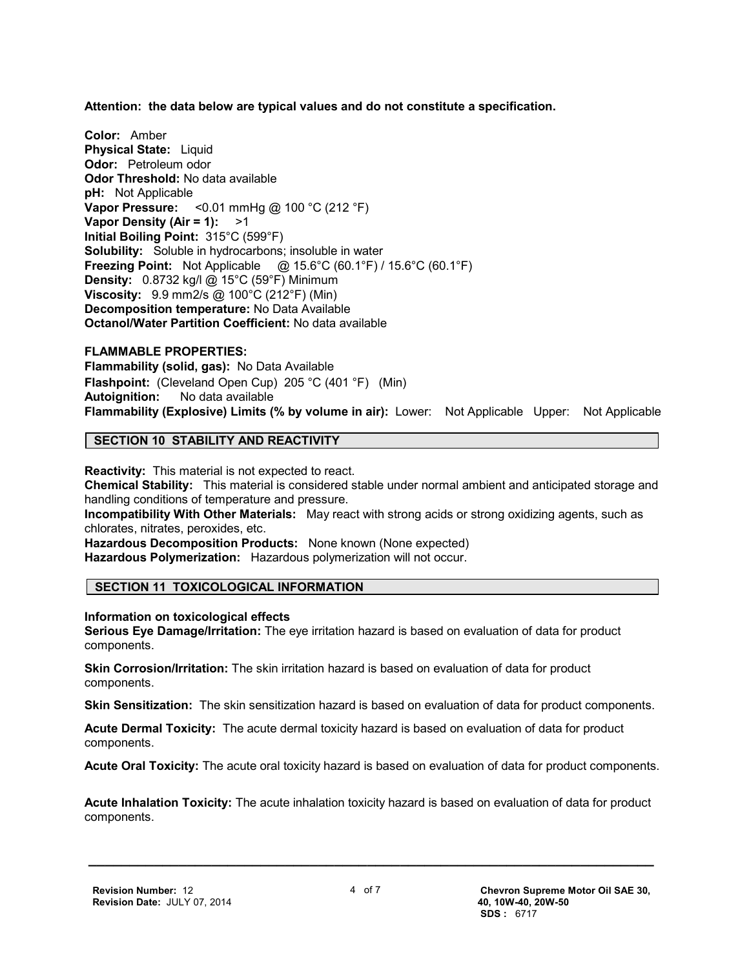**Attention: the data below are typical values and do not constitute a specification.**

**Color:** Amber **Physical State: Liquid Odor:** Petroleum odor **Odor Threshold:** No data available **pH:** Not Applicable **Vapor Pressure:** <0.01 mmHg @ 100 °C (212 °F) **Vapor Density (Air = 1):** >1 **Initial Boiling Point:** 315°C (599°F) **Solubility:** Soluble in hydrocarbons; insoluble in water **Freezing Point:** Not Applicable @ 15.6°C (60.1°F) / 15.6°C (60.1°F) **Density:** 0.8732 kg/l @ 15°C (59°F) Minimum **Viscosity:** 9.9 mm2/s @ 100°C (212°F) (Min) **Decomposition temperature:** No Data Available **Octanol/Water Partition Coefficient:** No data available

#### **FLAMMABLE PROPERTIES:**

**Flammability (solid, gas):** No Data Available **Flashpoint:** (Cleveland Open Cup) 205 °C (401 °F) (Min) **Autoignition:** No data available **Flammability (Explosive) Limits (% by volume in air):** Lower: Not Applicable Upper: Not Applicable

#### **SECTION 10 STABILITY AND REACTIVITY**

**Reactivity:** This material is not expected to react.

**Chemical Stability:** This material is considered stable under normal ambient and anticipated storage and handling conditions of temperature and pressure.

**Incompatibility With Other Materials:** May react with strong acids or strong oxidizing agents, such as chlorates, nitrates, peroxides, etc.

**Hazardous Decomposition Products:** None known (None expected)

**Hazardous Polymerization:** Hazardous polymerization will not occur.

#### **SECTION 11 TOXICOLOGICAL INFORMATION**

**Information on toxicological effects**

**Serious Eye Damage/Irritation:** The eye irritation hazard is based on evaluation of data for product components.

**Skin Corrosion/Irritation:** The skin irritation hazard is based on evaluation of data for product components.

**Skin Sensitization:** The skin sensitization hazard is based on evaluation of data for product components.

**Acute Dermal Toxicity:** The acute dermal toxicity hazard is based on evaluation of data for product components.

**Acute Oral Toxicity:** The acute oral toxicity hazard is based on evaluation of data for product components.

**Acute Inhalation Toxicity:** The acute inhalation toxicity hazard is based on evaluation of data for product components.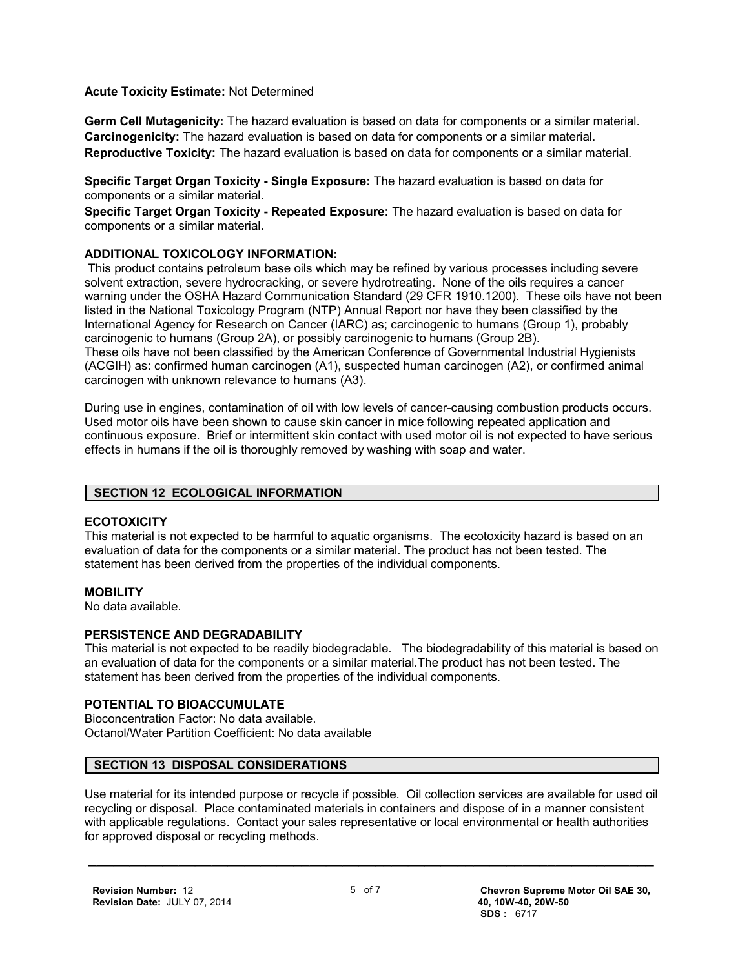**Acute Toxicity Estimate:** Not Determined

**Germ Cell Mutagenicity:** The hazard evaluation is based on data for components or a similar material. **Carcinogenicity:** The hazard evaluation is based on data for components or a similar material. **Reproductive Toxicity:** The hazard evaluation is based on data for components or a similar material.

**Specific Target Organ Toxicity - Single Exposure:** The hazard evaluation is based on data for components or a similar material.

**Specific Target Organ Toxicity - Repeated Exposure:** The hazard evaluation is based on data for components or a similar material.

#### **ADDITIONAL TOXICOLOGY INFORMATION:**

 This product contains petroleum base oils which may be refined by various processes including severe solvent extraction, severe hydrocracking, or severe hydrotreating. None of the oils requires a cancer warning under the OSHA Hazard Communication Standard (29 CFR 1910.1200). These oils have not been listed in the National Toxicology Program (NTP) Annual Report nor have they been classified by the International Agency for Research on Cancer (IARC) as; carcinogenic to humans (Group 1), probably carcinogenic to humans (Group 2A), or possibly carcinogenic to humans (Group 2B). These oils have not been classified by the American Conference of Governmental Industrial Hygienists (ACGIH) as: confirmed human carcinogen (A1), suspected human carcinogen (A2), or confirmed animal carcinogen with unknown relevance to humans (A3).

During use in engines, contamination of oil with low levels of cancer-causing combustion products occurs. Used motor oils have been shown to cause skin cancer in mice following repeated application and continuous exposure. Brief or intermittent skin contact with used motor oil is not expected to have serious effects in humans if the oil is thoroughly removed by washing with soap and water.

#### **SECTION 12 ECOLOGICAL INFORMATION**

#### **ECOTOXICITY**

This material is not expected to be harmful to aquatic organisms. The ecotoxicity hazard is based on an evaluation of data for the components or a similar material. The product has not been tested. The statement has been derived from the properties of the individual components.

#### **MOBILITY**

No data available.

#### **PERSISTENCE AND DEGRADABILITY**

This material is not expected to be readily biodegradable. The biodegradability of this material is based on an evaluation of data for the components or a similar material.The product has not been tested. The statement has been derived from the properties of the individual components.

#### **POTENTIAL TO BIOACCUMULATE**

Bioconcentration Factor: No data available. Octanol/Water Partition Coefficient: No data available

#### **SECTION 13 DISPOSAL CONSIDERATIONS**

Use material for its intended purpose or recycle if possible. Oil collection services are available for used oil recycling or disposal. Place contaminated materials in containers and dispose of in a manner consistent with applicable regulations. Contact your sales representative or local environmental or health authorities for approved disposal or recycling methods.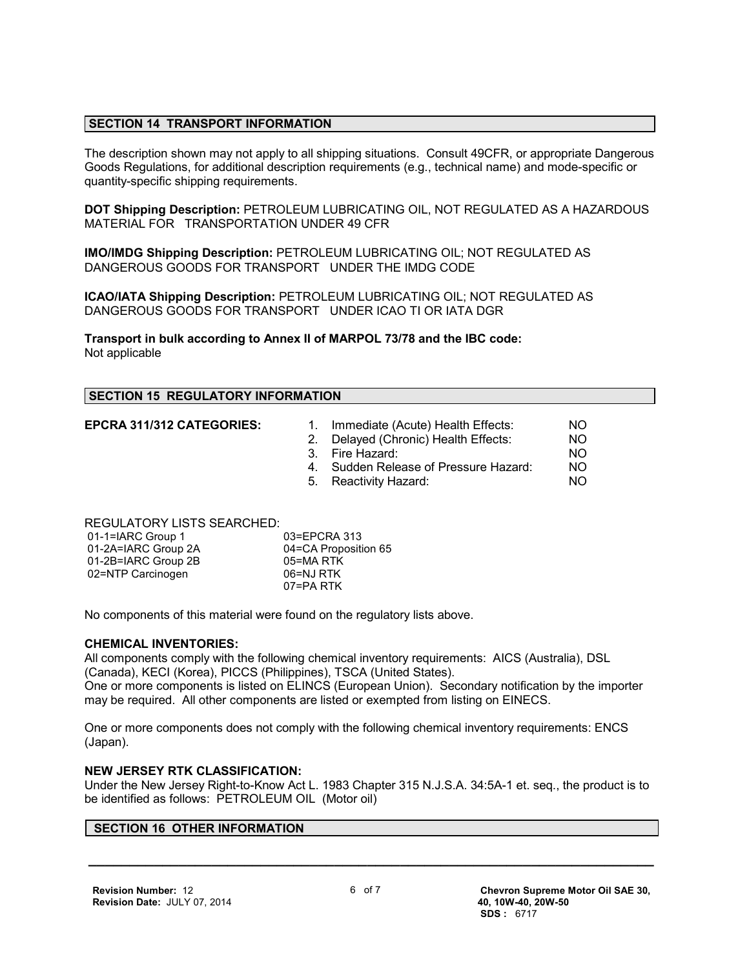#### **SECTION 14 TRANSPORT INFORMATION**

The description shown may not apply to all shipping situations. Consult 49CFR, or appropriate Dangerous Goods Regulations, for additional description requirements (e.g., technical name) and mode-specific or quantity-specific shipping requirements.

**DOT Shipping Description:** PETROLEUM LUBRICATING OIL, NOT REGULATED AS A HAZARDOUS MATERIAL FOR TRANSPORTATION UNDER 49 CFR

**IMO/IMDG Shipping Description:** PETROLEUM LUBRICATING OIL; NOT REGULATED AS DANGEROUS GOODS FOR TRANSPORT UNDER THE IMDG CODE

**ICAO/IATA Shipping Description:** PETROLEUM LUBRICATING OIL; NOT REGULATED AS DANGEROUS GOODS FOR TRANSPORT UNDER ICAO TI OR IATA DGR

**Transport in bulk according to Annex II of MARPOL 73/78 and the IBC code:** Not applicable

#### **SECTION 15 REGULATORY INFORMATION**

- **EPCRA 311/312 CATEGORIES:** 1. Immediate (Acute) Health Effects: NO 2. Delayed (Chronic) Health Effects: NO
	- 3. Fire Hazard: NO
	- 4. Sudden Release of Pressure Hazard: NO
	- 5. Reactivity Hazard: NO

REGULATORY LISTS SEARCHED:

| 01-1=IARC Group 1   | 03=EPCRA 313         |
|---------------------|----------------------|
| 01-2A=IARC Group 2A | 04=CA Proposition 65 |
| 01-2B=IARC Group 2B | 05=MA RTK            |
| 02=NTP Carcinogen   | 06=NJ RTK            |
|                     | 07=PA RTK            |

No components of this material were found on the regulatory lists above.

#### **CHEMICAL INVENTORIES:**

All components comply with the following chemical inventory requirements: AICS (Australia), DSL (Canada), KECI (Korea), PICCS (Philippines), TSCA (United States). One or more components is listed on ELINCS (European Union). Secondary notification by the importer may be required. All other components are listed or exempted from listing on EINECS.

One or more components does not comply with the following chemical inventory requirements: ENCS (Japan).

#### **NEW JERSEY RTK CLASSIFICATION:**

Under the New Jersey Right-to-Know Act L. 1983 Chapter 315 N.J.S.A. 34:5A-1 et. seq., the product is to be identified as follows: PETROLEUM OIL (Motor oil)

#### **SECTION 16 OTHER INFORMATION**